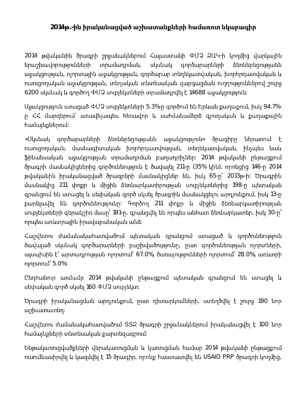## 2014 թ.-ին իրականացված աշխատանքների համառոտ նկարագիր

2014 թվականին ծրագրի շրջանակներում Հայաստանի ՓՄՁ ԶԱԿ-ի կողմից վարկային երաշխավորությունների տրամադրման, գործարարների սկսնակ ձեռներեցությանն աջակցության, ոլորտային աջակցության, գործարար տեղեկատվական, խորիրդատվական և ուսուցողական աջակցության, տեղական տնտեսական զարգացման ուղղություններով շուրջ  $6200$  սկսնակ և գործող ՓՄՁ սուբլեկտների տրամադրվել է 14688 աջակցություն։

Աջակցություն ստացած ՓՄՁ սուբյեկտների 5.3%-ը գործում են Երևան քաղաքում, իսկ 94.7%ր ՀՀ մարցերում` առավելապես հեռավոր և սահմանամերձ գյուղական և քաղաքային hամայնքներում*։* 

«Սկսնակ գործարարների ձեռներեցությանն աջակցություն» ծրագիրը ներառում է nւսուցողական, մասնագիտական խորիրդատվության, տեղեկատվական, ինչպես նաև ֆինանսական աջակցության տրամադրման բաղադրիչներ։ 2014 թվականի ընթացքում ծրագրի մասնակիցներից գործունեություն է ծավայել 211-ր (35% կին), որոնցից 146-ը 2014 թվականին իրականացված ծրագրերի մասնակիցներ են, իսկ 65-ը՝ 2013թ-ի։ Ծրագրին մասնակից 211 փոքր և միջին ձեռնարկատիրության սուբլեկտներից 198-ր պետական գրանցում են ստացել և սեփական գործ սկսել ծրագրին մասնակցելու արդլունքում, իսկ 13-ր բարելավել են գործունեությունը։ Գործող 211 փոքր և միջին ձեռնարկատիրության unւբլեկտների գերակշիռ մասը՝ 181-ը, գրանցվել են որպես անհատ ձեռնարկատեր, իսկ 30-ը՝ որպես առևտրային իրավաբանական անձ։

Հաշվետու ժամանակահատվածում պետական գրանցում ստացած և գործունեություն ծավալած սկսնակ գործարարների բաշխվածությունը, ըստ գործունեության ոլորտների, այսպիսին է՝ արտադրության ոլորտում՝ 67.0%, ծառայությունների ոլորտում՝ 28.0%, առևտրի 5.0%:

Ընդիանուր առմամբ 2014 թվականի ընթացքում պետական գրանցում են ստացել և սեփական գործ սկսել 160 ՓՄՁ սուբլեկտ։

Ծրագրի իրականացման արդյունքում, ըստ դիտարկումների, ստեղծվել է շուրջ 190 նոր աշխատատեղ։

Հաշվետու ժամանակահատվածում SS2 ծրագրի շրջանակներում իրականացվել է 100 նոր hամայնքների տնտեսական քարտեզագրում։

Ենթակառուցվածքների վերակառուցման և կառուցման համար 2014 թվականի ընթացքում nւսnւմնասիրվել և կազմվել է 15 ծրագիր, որոնք hաստատվել են USAID PRP ծրագրի կողմից,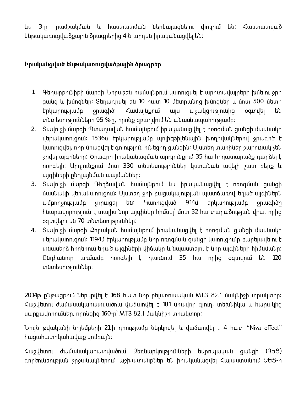լրամշակման և հաստատման ներկայացնելու փուլում են։ Հաստատված ևս  $3 - n$ ենթակառուցվածքային ծրագրերից 4-ն արդեն իրականացվել են։

## Իրականցված ենթակառուցվածքային ծրագրեր

- Գեղարքունիքի մարզի Նորաշեն համալնքում կառուցվել է արոտավալրերի խմելու ջրի  $1.$ ցանց և խմոցներ։ Տեղադրվել են 10 հատ 10 մետրանոց խմոցներ և մոտ 500 մետր երկարությամբ <sub>sp</sub>ughδ: Համայնքում wju աջակցությունից oqunulty են տնտեսությունների 95 %-ը, որոնք զբաղվում են անասնապահությամբ։
- 2. Sավուշի մարզի Պտաղավան համալնքում իրականացվել է ոռոգման ցանցի մասնակի վերակառուցում։ 1536մ երկարությամբ պոլիէթիլենային խողովակներով ջրագիծ է կառուցվել, որը միացվել է գոլություն ունեցող ցանցին։ Ալստեղ տարիներ շարունակ չեն ջրվել ալգիները։ Ծրագրի իրականացման արդյունքում 35 hա hողատարածք դարձել է ոռոգելի։ Արդյունքում մոտ 330 տնտեսություններ կստանան ավելի շատ բերք և այգիների ընդյալնման պայմաններ։
- Տավուշի մարզի Դեղձավան համայնքում ևս իրականացվել է ոռոգման ցանցի  $3.$ մասնակի վերակառուցում։ Այստեղ ջրի բացակայության պատճառով եղած այգիներն երկարությամբ ամբողջությամբ չորացել են։ Կառուցված  $914J$ **ο** ορωσιαλισμ hնարավորություն է տալիս նոր այգիներ hիմնել՝ մոտ 32 hա տարածության վրա, որից օգտվելու են 70 տնտեսություններ։
- Տավուշի մարզի Զորական համայնքում իրականացվել է ոռոգման ցանցի մասնակի  $4.$ վերակառուցում։ 1194մ երկարությամբ նոր ոռոգման ցանցի կառուցումը բարելավելու է տնամերձ հողերում եղած այգիների վիճակը և նպաստելու է նոր այգիների հիմնմանը։ Ընդիանուր առմամբ ոռոգելի է դառնում 35 հա որից օգտվում են 120 տնտեսություններ։

2014 թրնթացքում ներկրվել է 168 hատ նոր բելառուսական MT3 82.1 մակնիշի տրակտոր։ Հաշվետու ժամանակահատվածում վաճառվել է 181 միավոր գյուղ. տեխնիկա և հարակից uwnpwynnnuututin, nnnughq 160-n' MT3 82.1 uwyuhah unuuyunnn:

Նուլն թվականի նոլեմբերի 21-ի դրությամբ ներկրվել և վաճառվել է 4 hատ "Niva effect" **h**uguhuunhyuhuuyup ynupuju:

Հաշվետու ժամանակահատվածում Ձեռնարկությունների եվրոպական ցանցի (253) գործունեության շրջանակներում աշխատանքներ են իրականացվել Հայաստանում ՁԵՑ-ի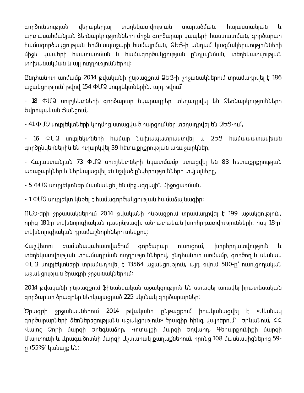տեղեկատվության գործունեության վերաբերյալ տարածման, հայաստանյան  $\mathsf{u}$ արտասահմանյան ձեռնարկությունների միջև գործարար կապերի հաստատման, գործարար <u>իամագործակցության իիմնապաշարի իամալրման, ՁԵՅ-ի անդամ կազմակերպությունների</u> միջև կապերի հաստատման և համագործակցության ընդլայնման, տեղեկատվության փոխանակման և այլ ուղղություններով։

Ընդիանուր առմամբ 2014 թվականի ընթացքում ՁԵՑ-ի շրջանակներում տրամադրվել է 186 աջակցություն՝ թվով 154 ՓՄՁ սուբլեկտներին, այդ թվում՝

- 18 ՓՄՁ սուբլեկտների գործարար նկարագրեր տեղադրվել են Ձեռնարկությունների Եվրոպական Ցանցում,

 $-$  41 ՓՄՁ սուբյեկտների կողմից ստացված հարցումներ տեղադրվել են ՁԵՑ-ում,

- 16 ՓՄՁ սուբլեկտների համար նախապատրաստվել և ՁԵՑ համապատասխան գործընկերներին են ուղարկվել 39 հետաքրքրության առաջարկներ,

- Հայաստանյան 73 ՓՄՁ սուբյեկտների նկատմամբ ստացվել են 83 հետաքրքրության առաջարկներ և ներկայացվել են նշված ընկերությունների տվյալները,

- 5 ՓՄՁ սուբլեկտներ մասնակցել են միջազգային միջոցառման,

- 1 ՓՄՁ սուբլեկտ կնքել է համագործակցության համաձայնագիր։

ՈԱԾ-երի շրջանակներում 2014 թվականի ընթացքում տրամադրվել է 199 աջակցություն, որից 181-ը տեխնոլոգիական դասընթացի, անհատական խորհրդատվությունների, իսկ 18-ը՝ տեխնոլոգիական դրամաշնորիների տեսքով։

*<u>Cumultunnu</u>* ժամանակահատվածում գործարար խորհրդատվություն ուսուզում, և տեղեկատվության տրամադրման ուղղություններով, ընդհանուր առմամբ, գործող և սկսնակ  $\Phi$ Մ $\Omega$  սուբլեկտների տրամադրվել է 13564 աջակցություն, այդ թվում 500-ը՝ ուսուցողական աջակցության ծրագրի շրջանակներում։

2014 թվականի ընթացքում ֆինանսական աջակցություն են ստացել առավել իրատեսական գործարար ծրագրեր ներկայացրած 225 սկսնակ գործարարներ։

Ծրագրի շրջանակներում 2014 թվականի ընթացքում իրականացվել է «Սկսնակ գործարարների ձեռներեցությանն աջակցություն» ծրագիր հինգ վայրերում՝ Երևանում, ՀՀ Վալոց Ձորի մարզի Եղեգնաձոր, Կոտալքի մարզի Եղվարդ, Գեղարքունիքի մարզի Մարտունի և Արագածոտնի մարզի Աշտարակ քաղաքներում, որոնց 108 մասնակիցներից 59ր  $(55%)$ ՝ կանայք են։